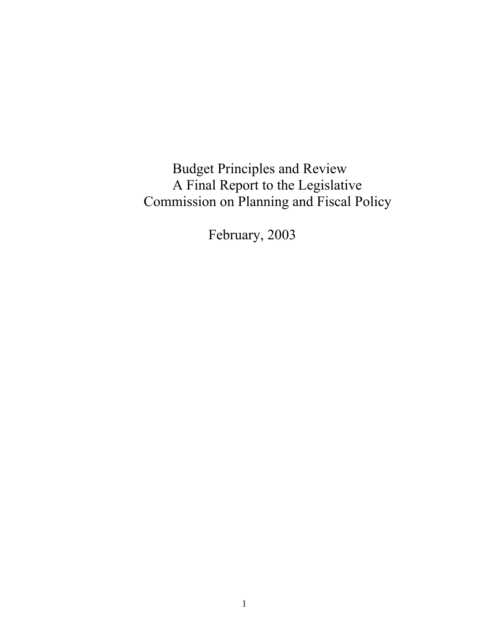Budget Principles and Review A Final Report to the Legislative Commission on Planning and Fiscal Policy

February, 2003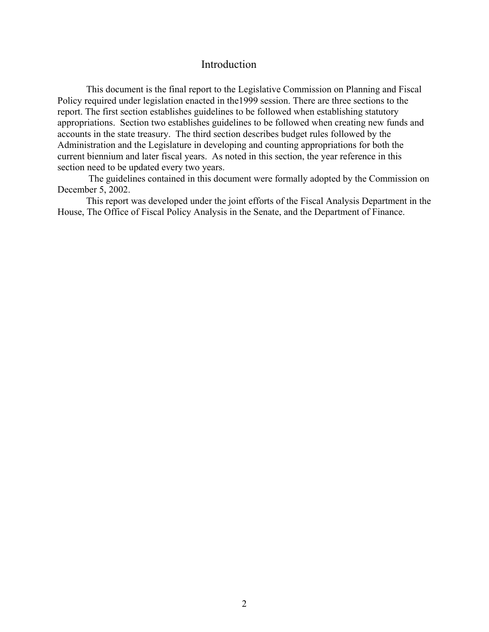### Introduction

This document is the final report to the Legislative Commission on Planning and Fiscal Policy required under legislation enacted in the1999 session. There are three sections to the report. The first section establishes guidelines to be followed when establishing statutory appropriations. Section two establishes guidelines to be followed when creating new funds and accounts in the state treasury. The third section describes budget rules followed by the Administration and the Legislature in developing and counting appropriations for both the current biennium and later fiscal years. As noted in this section, the year reference in this section need to be updated every two years.

 The guidelines contained in this document were formally adopted by the Commission on December 5, 2002.

This report was developed under the joint efforts of the Fiscal Analysis Department in the House, The Office of Fiscal Policy Analysis in the Senate, and the Department of Finance.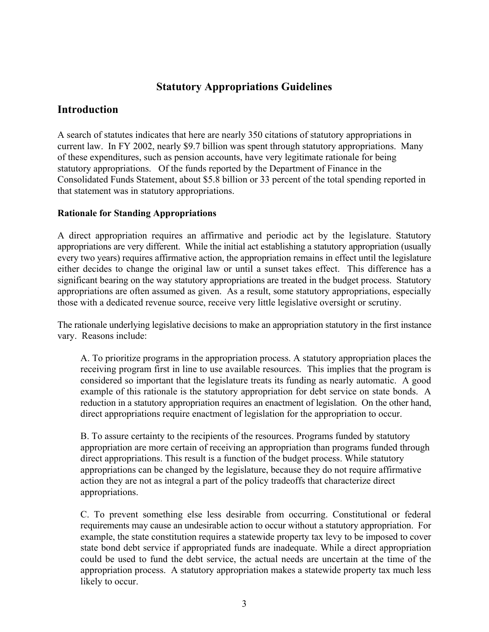# **Statutory Appropriations Guidelines**

# **Introduction**

A search of statutes indicates that here are nearly 350 citations of statutory appropriations in current law. In FY 2002, nearly \$9.7 billion was spent through statutory appropriations. Many of these expenditures, such as pension accounts, have very legitimate rationale for being statutory appropriations. Of the funds reported by the Department of Finance in the Consolidated Funds Statement, about \$5.8 billion or 33 percent of the total spending reported in that statement was in statutory appropriations.

## **Rationale for Standing Appropriations**

A direct appropriation requires an affirmative and periodic act by the legislature. Statutory appropriations are very different. While the initial act establishing a statutory appropriation (usually every two years) requires affirmative action, the appropriation remains in effect until the legislature either decides to change the original law or until a sunset takes effect. This difference has a significant bearing on the way statutory appropriations are treated in the budget process. Statutory appropriations are often assumed as given. As a result, some statutory appropriations, especially those with a dedicated revenue source, receive very little legislative oversight or scrutiny.

The rationale underlying legislative decisions to make an appropriation statutory in the first instance vary. Reasons include:

A. To prioritize programs in the appropriation process. A statutory appropriation places the receiving program first in line to use available resources. This implies that the program is considered so important that the legislature treats its funding as nearly automatic. A good example of this rationale is the statutory appropriation for debt service on state bonds. A reduction in a statutory appropriation requires an enactment of legislation. On the other hand, direct appropriations require enactment of legislation for the appropriation to occur.

B. To assure certainty to the recipients of the resources. Programs funded by statutory appropriation are more certain of receiving an appropriation than programs funded through direct appropriations. This result is a function of the budget process. While statutory appropriations can be changed by the legislature, because they do not require affirmative action they are not as integral a part of the policy tradeoffs that characterize direct appropriations.

C. To prevent something else less desirable from occurring. Constitutional or federal requirements may cause an undesirable action to occur without a statutory appropriation. For example, the state constitution requires a statewide property tax levy to be imposed to cover state bond debt service if appropriated funds are inadequate. While a direct appropriation could be used to fund the debt service, the actual needs are uncertain at the time of the appropriation process. A statutory appropriation makes a statewide property tax much less likely to occur.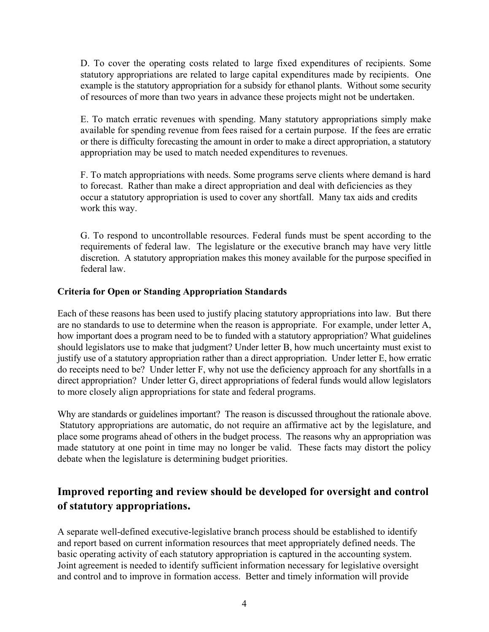D. To cover the operating costs related to large fixed expenditures of recipients. Some statutory appropriations are related to large capital expenditures made by recipients. One example is the statutory appropriation for a subsidy for ethanol plants. Without some security of resources of more than two years in advance these projects might not be undertaken.

E. To match erratic revenues with spending. Many statutory appropriations simply make available for spending revenue from fees raised for a certain purpose. If the fees are erratic or there is difficulty forecasting the amount in order to make a direct appropriation, a statutory appropriation may be used to match needed expenditures to revenues.

F. To match appropriations with needs. Some programs serve clients where demand is hard to forecast. Rather than make a direct appropriation and deal with deficiencies as they occur a statutory appropriation is used to cover any shortfall. Many tax aids and credits work this way.

G. To respond to uncontrollable resources. Federal funds must be spent according to the requirements of federal law. The legislature or the executive branch may have very little discretion. A statutory appropriation makes this money available for the purpose specified in federal law.

#### **Criteria for Open or Standing Appropriation Standards**

Each of these reasons has been used to justify placing statutory appropriations into law. But there are no standards to use to determine when the reason is appropriate. For example, under letter A, how important does a program need to be to funded with a statutory appropriation? What guidelines should legislators use to make that judgment? Under letter B, how much uncertainty must exist to justify use of a statutory appropriation rather than a direct appropriation. Under letter E, how erratic do receipts need to be? Under letter F, why not use the deficiency approach for any shortfalls in a direct appropriation? Under letter G, direct appropriations of federal funds would allow legislators to more closely align appropriations for state and federal programs.

Why are standards or guidelines important? The reason is discussed throughout the rationale above. Statutory appropriations are automatic, do not require an affirmative act by the legislature, and place some programs ahead of others in the budget process. The reasons why an appropriation was made statutory at one point in time may no longer be valid. These facts may distort the policy debate when the legislature is determining budget priorities.

# **Improved reporting and review should be developed for oversight and control of statutory appropriations.**

A separate well-defined executive-legislative branch process should be established to identify and report based on current information resources that meet appropriately defined needs. The basic operating activity of each statutory appropriation is captured in the accounting system. Joint agreement is needed to identify sufficient information necessary for legislative oversight and control and to improve in formation access. Better and timely information will provide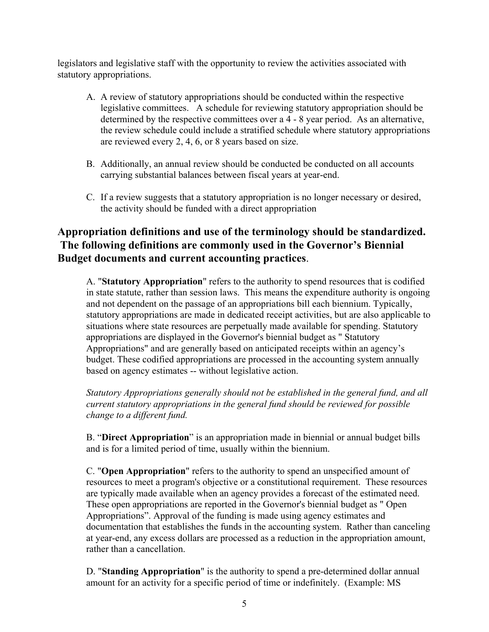legislators and legislative staff with the opportunity to review the activities associated with statutory appropriations.

- A. A review of statutory appropriations should be conducted within the respective legislative committees. A schedule for reviewing statutory appropriation should be determined by the respective committees over a 4 - 8 year period. As an alternative, the review schedule could include a stratified schedule where statutory appropriations are reviewed every 2, 4, 6, or 8 years based on size.
- B. Additionally, an annual review should be conducted be conducted on all accounts carrying substantial balances between fiscal years at year-end.
- C. If a review suggests that a statutory appropriation is no longer necessary or desired, the activity should be funded with a direct appropriation

# **Appropriation definitions and use of the terminology should be standardized. The following definitions are commonly used in the Governor's Biennial Budget documents and current accounting practices**.

A. "**Statutory Appropriation**" refers to the authority to spend resources that is codified in state statute, rather than session laws. This means the expenditure authority is ongoing and not dependent on the passage of an appropriations bill each biennium. Typically, statutory appropriations are made in dedicated receipt activities, but are also applicable to situations where state resources are perpetually made available for spending. Statutory appropriations are displayed in the Governor's biennial budget as " Statutory Appropriations" and are generally based on anticipated receipts within an agency's budget. These codified appropriations are processed in the accounting system annually based on agency estimates -- without legislative action.

*Statutory Appropriations generally should not be established in the general fund, and all current statutory appropriations in the general fund should be reviewed for possible change to a different fund.*

B. "**Direct Appropriation**" is an appropriation made in biennial or annual budget bills and is for a limited period of time, usually within the biennium.

C. "**Open Appropriation**" refers to the authority to spend an unspecified amount of resources to meet a program's objective or a constitutional requirement. These resources are typically made available when an agency provides a forecast of the estimated need. These open appropriations are reported in the Governor's biennial budget as " Open Appropriations". Approval of the funding is made using agency estimates and documentation that establishes the funds in the accounting system. Rather than canceling at year-end, any excess dollars are processed as a reduction in the appropriation amount, rather than a cancellation.

D. "**Standing Appropriation**" is the authority to spend a pre-determined dollar annual amount for an activity for a specific period of time or indefinitely. (Example: MS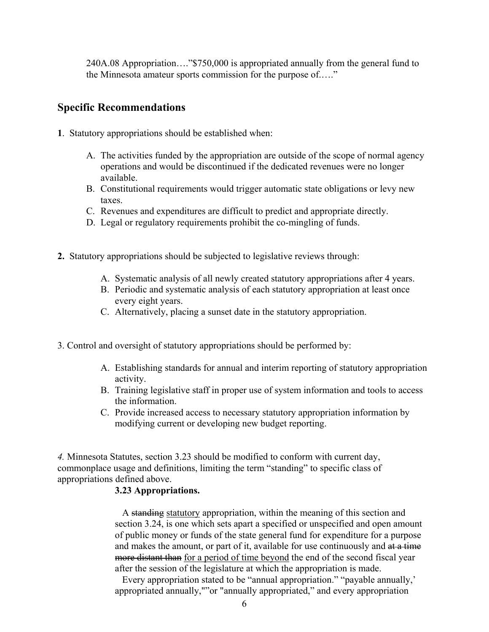240A.08 Appropriation…."\$750,000 is appropriated annually from the general fund to the Minnesota amateur sports commission for the purpose of.…."

# **Specific Recommendations**

- **1**. Statutory appropriations should be established when:
	- A. The activities funded by the appropriation are outside of the scope of normal agency operations and would be discontinued if the dedicated revenues were no longer available.
	- B. Constitutional requirements would trigger automatic state obligations or levy new taxes.
	- C. Revenues and expenditures are difficult to predict and appropriate directly.
	- D. Legal or regulatory requirements prohibit the co-mingling of funds.
- **2.** Statutory appropriations should be subjected to legislative reviews through:
	- A. Systematic analysis of all newly created statutory appropriations after 4 years.
	- B. Periodic and systematic analysis of each statutory appropriation at least once every eight years.
	- C. Alternatively, placing a sunset date in the statutory appropriation.
- 3. Control and oversight of statutory appropriations should be performed by:
	- A. Establishing standards for annual and interim reporting of statutory appropriation activity.
	- B. Training legislative staff in proper use of system information and tools to access the information.
	- C. Provide increased access to necessary statutory appropriation information by modifying current or developing new budget reporting.

*4.* Minnesota Statutes, section 3.23 should be modified to conform with current day, commonplace usage and definitions, limiting the term "standing" to specific class of appropriations defined above.

## **3.23 Appropriations.**

 A standing statutory appropriation, within the meaning of this section and section 3.24, is one which sets apart a specified or unspecified and open amount of public money or funds of the state general fund for expenditure for a purpose and makes the amount, or part of it, available for use continuously and at a time more distant than for a period of time beyond the end of the second fiscal year after the session of the legislature at which the appropriation is made.

 Every appropriation stated to be "annual appropriation." "payable annually,' appropriated annually,""or "annually appropriated," and every appropriation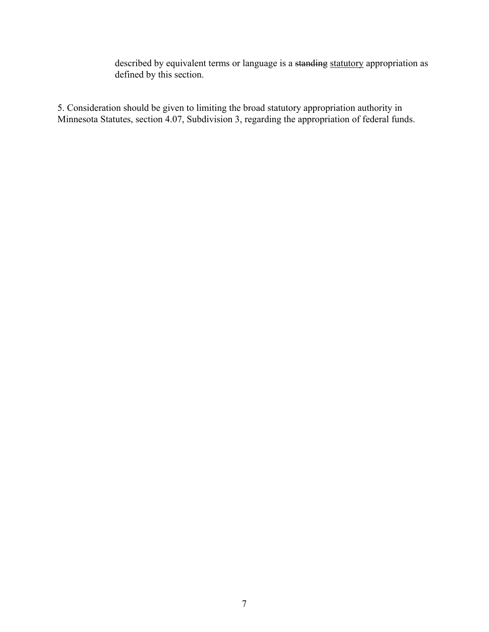described by equivalent terms or language is a standing statutory appropriation as defined by this section.

5. Consideration should be given to limiting the broad statutory appropriation authority in Minnesota Statutes, section 4.07, Subdivision 3, regarding the appropriation of federal funds.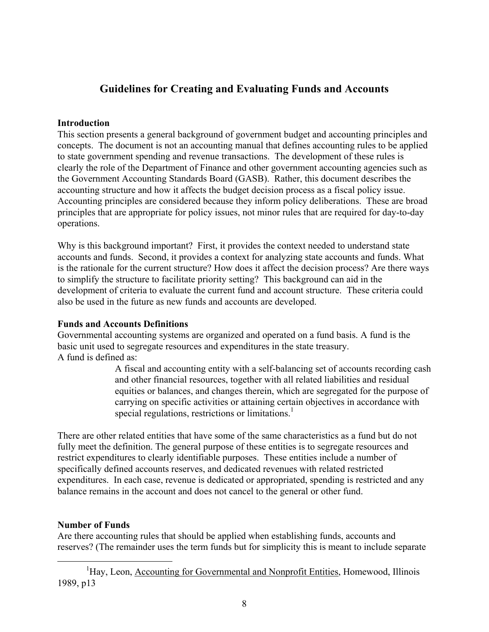# **Guidelines for Creating and Evaluating Funds and Accounts**

#### **Introduction**

This section presents a general background of government budget and accounting principles and concepts. The document is not an accounting manual that defines accounting rules to be applied to state government spending and revenue transactions. The development of these rules is clearly the role of the Department of Finance and other government accounting agencies such as the Government Accounting Standards Board (GASB). Rather, this document describes the accounting structure and how it affects the budget decision process as a fiscal policy issue. Accounting principles are considered because they inform policy deliberations. These are broad principles that are appropriate for policy issues, not minor rules that are required for day-to-day operations.

Why is this background important? First, it provides the context needed to understand state accounts and funds. Second, it provides a context for analyzing state accounts and funds. What is the rationale for the current structure? How does it affect the decision process? Are there ways to simplify the structure to facilitate priority setting? This background can aid in the development of criteria to evaluate the current fund and account structure. These criteria could also be used in the future as new funds and accounts are developed.

## **Funds and Accounts Definitions**

Governmental accounting systems are organized and operated on a fund basis. A fund is the basic unit used to segregate resources and expenditures in the state treasury. A fund is defined as:

A fiscal and accounting entity with a self-balancing set of accounts recording cash and other financial resources, together with all related liabilities and residual equities or balances, and changes therein, which are segregated for the purpose of carrying on specific activities or attaining certain objectives in accordance with special regulations, restrictions or limitations.<sup>[1](#page-7-0)</sup>

There are other related entities that have some of the same characteristics as a fund but do not fully meet the definition. The general purpose of these entities is to segregate resources and restrict expenditures to clearly identifiable purposes. These entities include a number of specifically defined accounts reserves, and dedicated revenues with related restricted expenditures. In each case, revenue is dedicated or appropriated, spending is restricted and any balance remains in the account and does not cancel to the general or other fund.

## **Number of Funds**

Are there accounting rules that should be applied when establishing funds, accounts and reserves? (The remainder uses the term funds but for simplicity this is meant to include separate

<span id="page-7-0"></span><sup>&</sup>lt;u>1</u> <sup>1</sup>Hay, Leon, Accounting for Governmental and Nonprofit Entities, Homewood, Illinois 1989, p13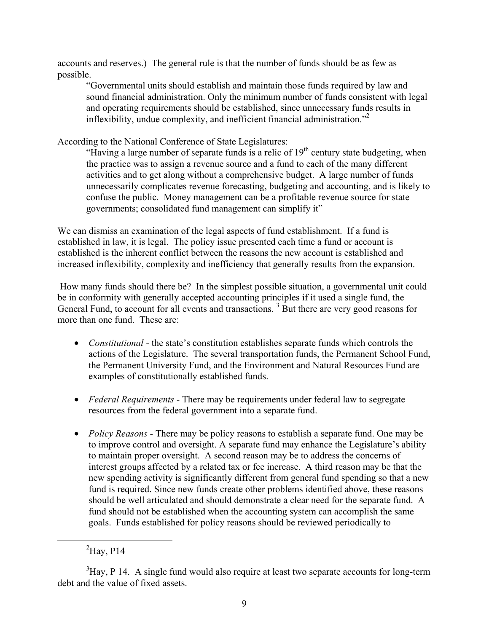accounts and reserves.) The general rule is that the number of funds should be as few as possible.

"Governmental units should establish and maintain those funds required by law and sound financial administration. Only the minimum number of funds consistent with legal and operating requirements should be established, since unnecessary funds results in inflexibility, undue complexity, and inefficient financial administration."<sup>[2](#page-8-0)</sup>

According to the National Conference of State Legislatures:

"Having a large number of separate funds is a relic of  $19<sup>th</sup>$  century state budgeting, when the practice was to assign a revenue source and a fund to each of the many different activities and to get along without a comprehensive budget. A large number of funds unnecessarily complicates revenue forecasting, budgeting and accounting, and is likely to confuse the public. Money management can be a profitable revenue source for state governments; consolidated fund management can simplify it"

We can dismiss an examination of the legal aspects of fund establishment. If a fund is established in law, it is legal. The policy issue presented each time a fund or account is established is the inherent conflict between the reasons the new account is established and increased inflexibility, complexity and inefficiency that generally results from the expansion.

 How many funds should there be? In the simplest possible situation, a governmental unit could be in conformity with generally accepted accounting principles if it used a single fund, the General Fund, to account for all events and transactions.<sup>3</sup> But there are very good reasons for more than one fund. These are:

- *Constitutional -* the state's constitution establishes separate funds which controls the actions of the Legislature. The several transportation funds, the Permanent School Fund, the Permanent University Fund, and the Environment and Natural Resources Fund are examples of constitutionally established funds.
- *Federal Requirements*  There may be requirements under federal law to segregate resources from the federal government into a separate fund.
- *Policy Reasons* There may be policy reasons to establish a separate fund. One may be to improve control and oversight. A separate fund may enhance the Legislature's ability to maintain proper oversight. A second reason may be to address the concerns of interest groups affected by a related tax or fee increase. A third reason may be that the new spending activity is significantly different from general fund spending so that a new fund is required. Since new funds create other problems identified above, these reasons should be well articulated and should demonstrate a clear need for the separate fund. A fund should not be established when the accounting system can accomplish the same goals. Funds established for policy reasons should be reviewed periodically to

<span id="page-8-0"></span> <sup>2</sup>  ${}^{2}$ Hay, P14

<span id="page-8-1"></span> $3$ Hay, P 14. A single fund would also require at least two separate accounts for long-term debt and the value of fixed assets.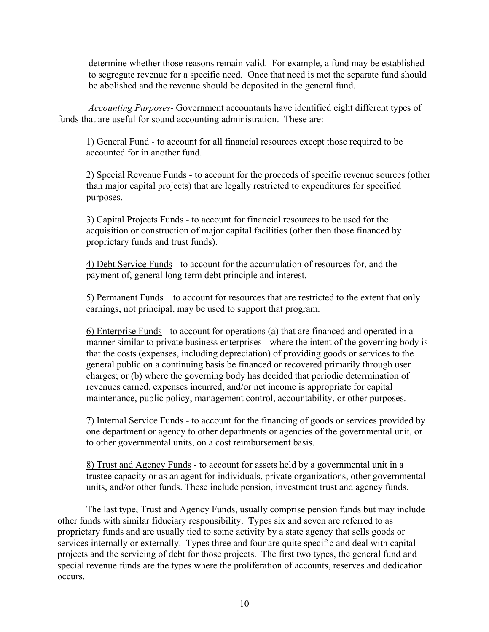determine whether those reasons remain valid. For example, a fund may be established to segregate revenue for a specific need. Once that need is met the separate fund should be abolished and the revenue should be deposited in the general fund.

*Accounting Purposes*- Government accountants have identified eight different types of funds that are useful for sound accounting administration. These are:

 1) General Fund - to account for all financial resources except those required to be accounted for in another fund.

2) Special Revenue Funds - to account for the proceeds of specific revenue sources (other than major capital projects) that are legally restricted to expenditures for specified purposes.

3) Capital Projects Funds - to account for financial resources to be used for the acquisition or construction of major capital facilities (other then those financed by proprietary funds and trust funds).

4) Debt Service Funds - to account for the accumulation of resources for, and the payment of, general long term debt principle and interest.

5) Permanent Funds – to account for resources that are restricted to the extent that only earnings, not principal, may be used to support that program.

6) Enterprise Funds *-* to account for operations (a) that are financed and operated in a manner similar to private business enterprises - where the intent of the governing body is that the costs (expenses, including depreciation) of providing goods or services to the general public on a continuing basis be financed or recovered primarily through user charges; or (b) where the governing body has decided that periodic determination of revenues earned, expenses incurred, and/or net income is appropriate for capital maintenance, public policy, management control, accountability, or other purposes.

7) Internal Service Funds - to account for the financing of goods or services provided by one department or agency to other departments or agencies of the governmental unit, or to other governmental units, on a cost reimbursement basis.

8) Trust and Agency Funds - to account for assets held by a governmental unit in a trustee capacity or as an agent for individuals, private organizations, other governmental units, and/or other funds. These include pension, investment trust and agency funds.

The last type, Trust and Agency Funds, usually comprise pension funds but may include other funds with similar fiduciary responsibility. Types six and seven are referred to as proprietary funds and are usually tied to some activity by a state agency that sells goods or services internally or externally. Types three and four are quite specific and deal with capital projects and the servicing of debt for those projects. The first two types, the general fund and special revenue funds are the types where the proliferation of accounts, reserves and dedication occurs.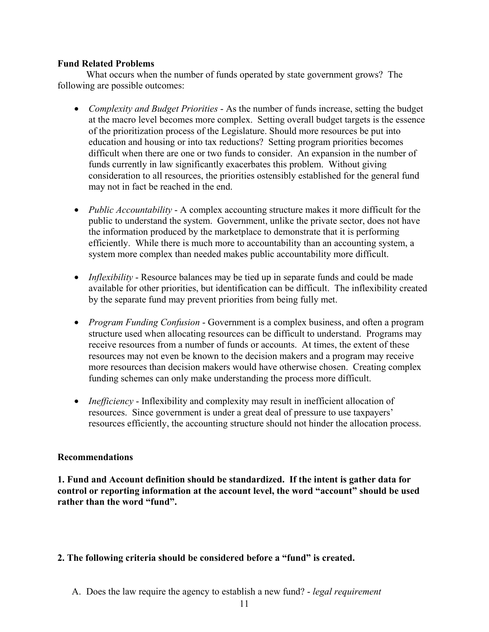#### **Fund Related Problems**

What occurs when the number of funds operated by state government grows? The following are possible outcomes:

- *Complexity and Budget Priorities* As the number of funds increase, setting the budget at the macro level becomes more complex. Setting overall budget targets is the essence of the prioritization process of the Legislature. Should more resources be put into education and housing or into tax reductions? Setting program priorities becomes difficult when there are one or two funds to consider. An expansion in the number of funds currently in law significantly exacerbates this problem. Without giving consideration to all resources, the priorities ostensibly established for the general fund may not in fact be reached in the end.
- *Public Accountability* A complex accounting structure makes it more difficult for the public to understand the system. Government, unlike the private sector, does not have the information produced by the marketplace to demonstrate that it is performing efficiently. While there is much more to accountability than an accounting system, a system more complex than needed makes public accountability more difficult.
- *Inflexibility* Resource balances may be tied up in separate funds and could be made available for other priorities, but identification can be difficult. The inflexibility created by the separate fund may prevent priorities from being fully met.
- *Program Funding Confusion* Government is a complex business, and often a program structure used when allocating resources can be difficult to understand. Programs may receive resources from a number of funds or accounts. At times, the extent of these resources may not even be known to the decision makers and a program may receive more resources than decision makers would have otherwise chosen. Creating complex funding schemes can only make understanding the process more difficult.
- *Inefficiency* Inflexibility and complexity may result in inefficient allocation of resources. Since government is under a great deal of pressure to use taxpayers' resources efficiently, the accounting structure should not hinder the allocation process.

## **Recommendations**

**1. Fund and Account definition should be standardized. If the intent is gather data for control or reporting information at the account level, the word "account" should be used rather than the word "fund".**

## **2. The following criteria should be considered before a "fund" is created.**

A. Does the law require the agency to establish a new fund? - *legal requirement*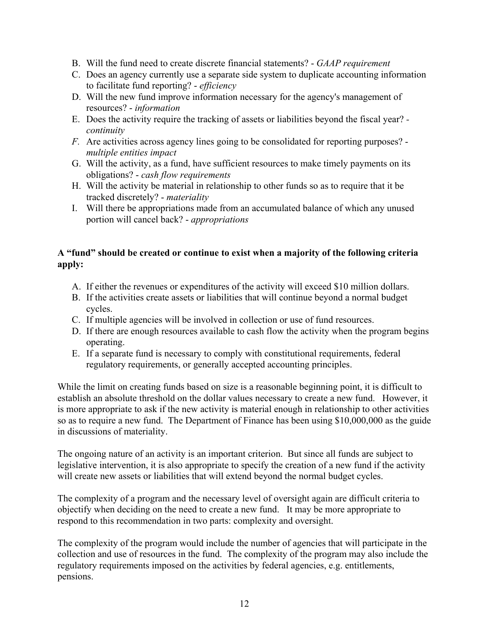- B. Will the fund need to create discrete financial statements? *GAAP requirement*
- C. Does an agency currently use a separate side system to duplicate accounting information to facilitate fund reporting? - *efficiency*
- D. Will the new fund improve information necessary for the agency's management of resources? - *information*
- E. Does the activity require the tracking of assets or liabilities beyond the fiscal year?  *continuity*
- *F.* Are activities across agency lines going to be consolidated for reporting purposes? *multiple entities impact*
- G. Will the activity, as a fund, have sufficient resources to make timely payments on its obligations? - *cash flow requirements*
- H. Will the activity be material in relationship to other funds so as to require that it be tracked discretely? - *materiality*
- I. Will there be appropriations made from an accumulated balance of which any unused portion will cancel back? - *appropriations*

# **A "fund" should be created or continue to exist when a majority of the following criteria apply:**

- A. If either the revenues or expenditures of the activity will exceed \$10 million dollars.
- B. If the activities create assets or liabilities that will continue beyond a normal budget cycles.
- C. If multiple agencies will be involved in collection or use of fund resources.
- D. If there are enough resources available to cash flow the activity when the program begins operating.
- E. If a separate fund is necessary to comply with constitutional requirements, federal regulatory requirements, or generally accepted accounting principles.

While the limit on creating funds based on size is a reasonable beginning point, it is difficult to establish an absolute threshold on the dollar values necessary to create a new fund. However, it is more appropriate to ask if the new activity is material enough in relationship to other activities so as to require a new fund. The Department of Finance has been using \$10,000,000 as the guide in discussions of materiality.

The ongoing nature of an activity is an important criterion. But since all funds are subject to legislative intervention, it is also appropriate to specify the creation of a new fund if the activity will create new assets or liabilities that will extend beyond the normal budget cycles.

The complexity of a program and the necessary level of oversight again are difficult criteria to objectify when deciding on the need to create a new fund. It may be more appropriate to respond to this recommendation in two parts: complexity and oversight.

The complexity of the program would include the number of agencies that will participate in the collection and use of resources in the fund. The complexity of the program may also include the regulatory requirements imposed on the activities by federal agencies, e.g. entitlements, pensions.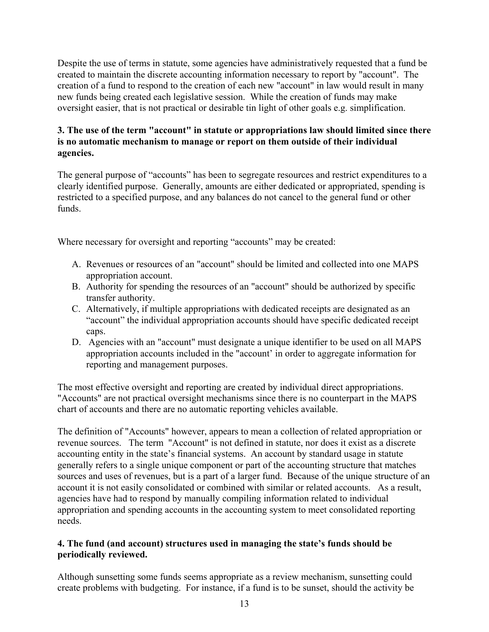Despite the use of terms in statute, some agencies have administratively requested that a fund be created to maintain the discrete accounting information necessary to report by "account". The creation of a fund to respond to the creation of each new "account" in law would result in many new funds being created each legislative session. While the creation of funds may make oversight easier, that is not practical or desirable tin light of other goals e.g. simplification.

## **3. The use of the term "account" in statute or appropriations law should limited since there is no automatic mechanism to manage or report on them outside of their individual agencies.**

The general purpose of "accounts" has been to segregate resources and restrict expenditures to a clearly identified purpose. Generally, amounts are either dedicated or appropriated, spending is restricted to a specified purpose, and any balances do not cancel to the general fund or other funds.

Where necessary for oversight and reporting "accounts" may be created:

- A. Revenues or resources of an "account" should be limited and collected into one MAPS appropriation account.
- B. Authority for spending the resources of an "account" should be authorized by specific transfer authority.
- C. Alternatively, if multiple appropriations with dedicated receipts are designated as an "account" the individual appropriation accounts should have specific dedicated receipt caps.
- D. Agencies with an "account" must designate a unique identifier to be used on all MAPS appropriation accounts included in the "account' in order to aggregate information for reporting and management purposes.

The most effective oversight and reporting are created by individual direct appropriations. "Accounts" are not practical oversight mechanisms since there is no counterpart in the MAPS chart of accounts and there are no automatic reporting vehicles available.

The definition of "Accounts" however, appears to mean a collection of related appropriation or revenue sources. The term "Account" is not defined in statute, nor does it exist as a discrete accounting entity in the state's financial systems. An account by standard usage in statute generally refers to a single unique component or part of the accounting structure that matches sources and uses of revenues, but is a part of a larger fund. Because of the unique structure of an account it is not easily consolidated or combined with similar or related accounts. As a result, agencies have had to respond by manually compiling information related to individual appropriation and spending accounts in the accounting system to meet consolidated reporting needs.

## **4. The fund (and account) structures used in managing the state's funds should be periodically reviewed.**

Although sunsetting some funds seems appropriate as a review mechanism, sunsetting could create problems with budgeting. For instance, if a fund is to be sunset, should the activity be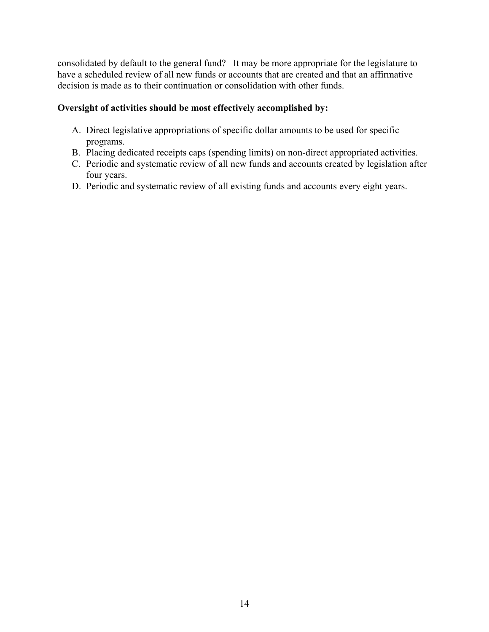consolidated by default to the general fund? It may be more appropriate for the legislature to have a scheduled review of all new funds or accounts that are created and that an affirmative decision is made as to their continuation or consolidation with other funds.

# **Oversight of activities should be most effectively accomplished by:**

- A. Direct legislative appropriations of specific dollar amounts to be used for specific programs.
- B. Placing dedicated receipts caps (spending limits) on non-direct appropriated activities.
- C. Periodic and systematic review of all new funds and accounts created by legislation after four years.
- D. Periodic and systematic review of all existing funds and accounts every eight years.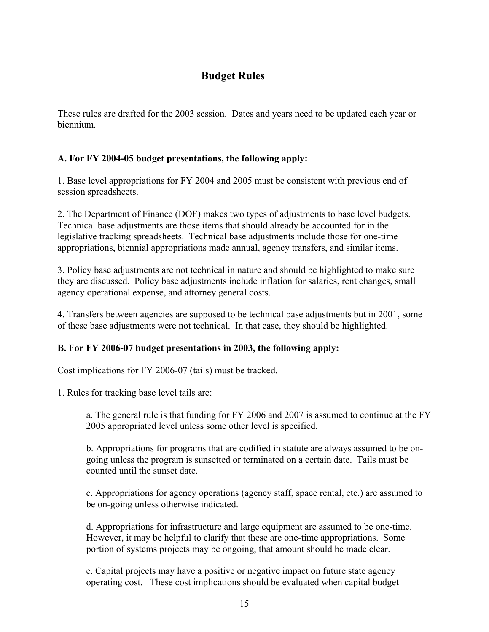# **Budget Rules**

These rules are drafted for the 2003 session. Dates and years need to be updated each year or biennium.

## **A. For FY 2004-05 budget presentations, the following apply:**

1. Base level appropriations for FY 2004 and 2005 must be consistent with previous end of session spreadsheets.

2. The Department of Finance (DOF) makes two types of adjustments to base level budgets. Technical base adjustments are those items that should already be accounted for in the legislative tracking spreadsheets. Technical base adjustments include those for one-time appropriations, biennial appropriations made annual, agency transfers, and similar items.

3. Policy base adjustments are not technical in nature and should be highlighted to make sure they are discussed. Policy base adjustments include inflation for salaries, rent changes, small agency operational expense, and attorney general costs.

4. Transfers between agencies are supposed to be technical base adjustments but in 2001, some of these base adjustments were not technical. In that case, they should be highlighted.

## **B. For FY 2006-07 budget presentations in 2003, the following apply:**

Cost implications for FY 2006-07 (tails) must be tracked.

1. Rules for tracking base level tails are:

a. The general rule is that funding for FY 2006 and 2007 is assumed to continue at the FY 2005 appropriated level unless some other level is specified.

b. Appropriations for programs that are codified in statute are always assumed to be ongoing unless the program is sunsetted or terminated on a certain date. Tails must be counted until the sunset date.

c. Appropriations for agency operations (agency staff, space rental, etc.) are assumed to be on-going unless otherwise indicated.

d. Appropriations for infrastructure and large equipment are assumed to be one-time. However, it may be helpful to clarify that these are one-time appropriations. Some portion of systems projects may be ongoing, that amount should be made clear.

e. Capital projects may have a positive or negative impact on future state agency operating cost. These cost implications should be evaluated when capital budget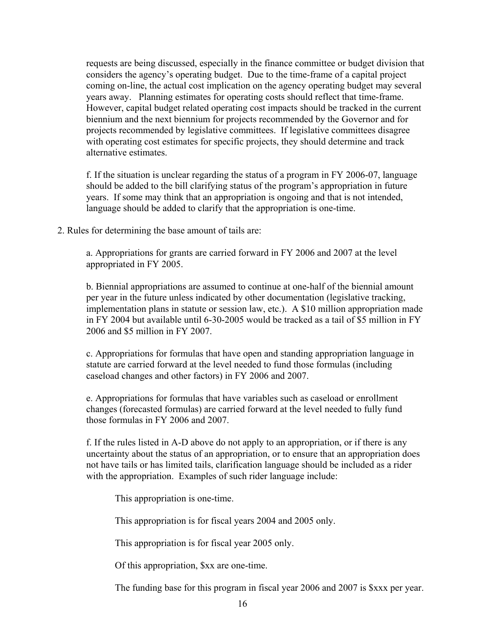requests are being discussed, especially in the finance committee or budget division that considers the agency's operating budget. Due to the time-frame of a capital project coming on-line, the actual cost implication on the agency operating budget may several years away. Planning estimates for operating costs should reflect that time-frame. However, capital budget related operating cost impacts should be tracked in the current biennium and the next biennium for projects recommended by the Governor and for projects recommended by legislative committees. If legislative committees disagree with operating cost estimates for specific projects, they should determine and track alternative estimates.

f. If the situation is unclear regarding the status of a program in FY 2006-07, language should be added to the bill clarifying status of the program's appropriation in future years. If some may think that an appropriation is ongoing and that is not intended, language should be added to clarify that the appropriation is one-time.

2. Rules for determining the base amount of tails are:

a. Appropriations for grants are carried forward in FY 2006 and 2007 at the level appropriated in FY 2005.

b. Biennial appropriations are assumed to continue at one-half of the biennial amount per year in the future unless indicated by other documentation (legislative tracking, implementation plans in statute or session law, etc.). A \$10 million appropriation made in FY 2004 but available until 6-30-2005 would be tracked as a tail of \$5 million in FY 2006 and \$5 million in FY 2007.

c. Appropriations for formulas that have open and standing appropriation language in statute are carried forward at the level needed to fund those formulas (including caseload changes and other factors) in FY 2006 and 2007.

e. Appropriations for formulas that have variables such as caseload or enrollment changes (forecasted formulas) are carried forward at the level needed to fully fund those formulas in FY 2006 and 2007.

f. If the rules listed in A-D above do not apply to an appropriation, or if there is any uncertainty about the status of an appropriation, or to ensure that an appropriation does not have tails or has limited tails, clarification language should be included as a rider with the appropriation. Examples of such rider language include:

This appropriation is one-time.

This appropriation is for fiscal years 2004 and 2005 only.

This appropriation is for fiscal year 2005 only.

Of this appropriation, \$xx are one-time.

The funding base for this program in fiscal year 2006 and 2007 is \$xxx per year.